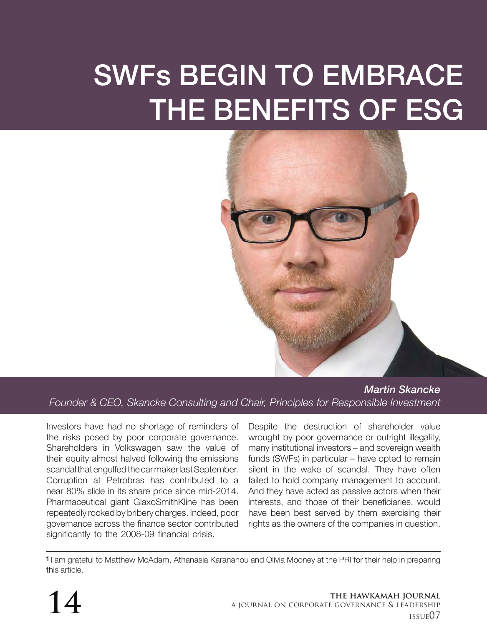## SWFs BEGIN TO EMBRACE THE BENEFITS OF ESG



*Martin Skancke Founder & CEO, Skancke Consulting and Chair, Principles for Responsible Investment*

Investors have had no shortage of reminders of the risks posed by poor corporate governance. Shareholders in Volkswagen saw the value of their equity almost halved following the emissions scandal that engulfed the car maker last September. Corruption at Petrobras has contributed to a near 80% slide in its share price since mid-2014. Pharmaceutical giant GlaxoSmithKline has been repeatedly rocked by bribery charges. Indeed, poor governance across the finance sector contributed significantly to the 2008-09 financial crisis.

Despite the destruction of shareholder value wrought by poor governance or outright illegality, many institutional investors – and sovereign wealth funds (SWFs) in particular – have opted to remain silent in the wake of scandal. They have often failed to hold company management to account. And they have acted as passive actors when their interests, and those of their beneficiaries, would have been best served by them exercising their rights as the owners of the companies in question.

1I am grateful to Matthew McAdam, Athanasia Karananou and Olivia Mooney at the PRI for their help in preparing this article.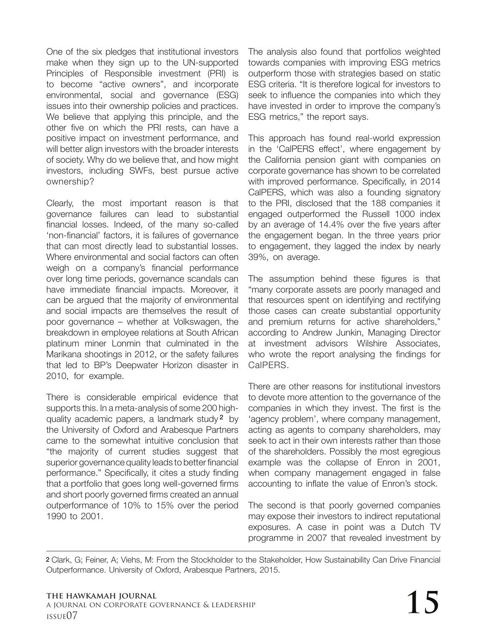One of the six pledges that institutional investors make when they sign up to the UN-supported Principles of Responsible investment (PRI) is to become "active owners", and incorporate environmental, social and governance (ESG) issues into their ownership policies and practices. We believe that applying this principle, and the other five on which the PRI rests, can have a positive impact on investment performance, and will better align investors with the broader interests of society. Why do we believe that, and how might investors, including SWFs, best pursue active ownership?

Clearly, the most important reason is that governance failures can lead to substantial financial losses. Indeed, of the many so-called 'non-financial' factors, it is failures of governance that can most directly lead to substantial losses. Where environmental and social factors can often weigh on a company's financial performance over long time periods, governance scandals can have immediate financial impacts. Moreover, it can be argued that the majority of environmental and social impacts are themselves the result of poor governance – whether at Volkswagen, the breakdown in employee relations at South African platinum miner Lonmin that culminated in the Marikana shootings in 2012, or the safety failures that led to BP's Deepwater Horizon disaster in 2010, for example.

There is considerable empirical evidence that supports this. In a meta-analysis of some 200 highquality academic papers, a landmark study<sup>2</sup> by the University of Oxford and Arabesque Partners came to the somewhat intuitive conclusion that "the majority of current studies suggest that superior governance quality leads to better financial performance." Specifically, it cites a study finding that a portfolio that goes long well-governed firms and short poorly governed firms created an annual outperformance of 10% to 15% over the period 1990 to 2001.

The analysis also found that portfolios weighted towards companies with improving ESG metrics outperform those with strategies based on static ESG criteria. "It is therefore logical for investors to seek to influence the companies into which they have invested in order to improve the company's ESG metrics," the report says.

This approach has found real-world expression in the 'CalPERS effect', where engagement by the California pension giant with companies on corporate governance has shown to be correlated with improved performance. Specifically, in 2014 CalPERS, which was also a founding signatory to the PRI, disclosed that the 188 companies it engaged outperformed the Russell 1000 index by an average of 14.4% over the five years after the engagement began. In the three years prior to engagement, they lagged the index by nearly 39%, on average.

The assumption behind these figures is that "many corporate assets are poorly managed and that resources spent on identifying and rectifying those cases can create substantial opportunity and premium returns for active shareholders," according to Andrew Junkin, Managing Director at investment advisors Wilshire Associates, who wrote the report analysing the findings for CalPERS.

There are other reasons for institutional investors to devote more attention to the governance of the companies in which they invest. The first is the 'agency problem', where company management, acting as agents to company shareholders, may seek to act in their own interests rather than those of the shareholders. Possibly the most egregious example was the collapse of Enron in 2001, when company management engaged in false accounting to inflate the value of Enron's stock.

The second is that poorly governed companies may expose their investors to indirect reputational exposures. A case in point was a Dutch TV programme in 2007 that revealed investment by

 Clark, G; Feiner, A; Viehs, M: From the Stockholder to the Stakeholder, How Sustainability Can Drive Financial 2Outperformance. University of Oxford, Arabesque Partners, 2015.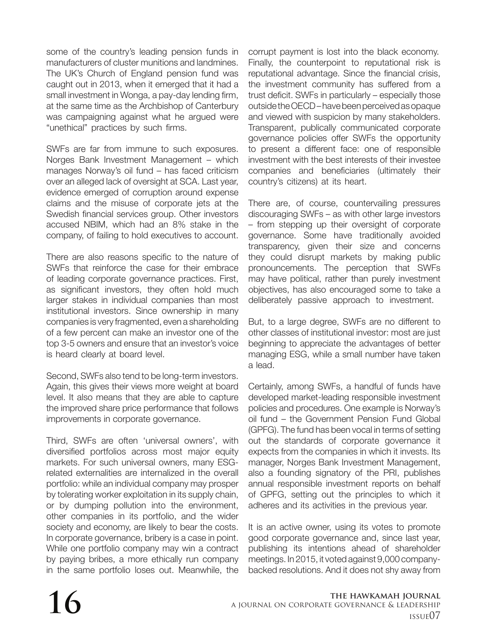some of the country's leading pension funds in manufacturers of cluster munitions and landmines. The UK's Church of England pension fund was caught out in 2013, when it emerged that it had a small investment in Wonga, a pay-day lending firm, at the same time as the Archbishop of Canterbury was campaigning against what he argued were "unethical" practices by such firms.

SWFs are far from immune to such exposures. Norges Bank Investment Management – which manages Norway's oil fund – has faced criticism over an alleged lack of oversight at SCA. Last year, evidence emerged of corruption around expense claims and the misuse of corporate jets at the Swedish financial services group. Other investors accused NBIM, which had an 8% stake in the company, of failing to hold executives to account.

There are also reasons specific to the nature of SWFs that reinforce the case for their embrace of leading corporate governance practices. First, as significant investors, they often hold much larger stakes in individual companies than most institutional investors. Since ownership in many companies is very fragmented, even a shareholding of a few percent can make an investor one of the top 3-5 owners and ensure that an investor's voice is heard clearly at board level.

Second, SWFs also tend to be long-term investors. Again, this gives their views more weight at board level. It also means that they are able to capture the improved share price performance that follows improvements in corporate governance.

Third, SWFs are often 'universal owners', with diversified portfolios across most major equity markets. For such universal owners, many ESGrelated externalities are internalized in the overall portfolio: while an individual company may prosper by tolerating worker exploitation in its supply chain, or by dumping pollution into the environment, other companies in its portfolio, and the wider society and economy, are likely to bear the costs. In corporate governance, bribery is a case in point. While one portfolio company may win a contract by paying bribes, a more ethically run company in the same portfolio loses out. Meanwhile, the

corrupt payment is lost into the black economy. Finally, the counterpoint to reputational risk is reputational advantage. Since the financial crisis, the investment community has suffered from a trust deficit. SWFs in particularly – especially those outside the OECD – have been perceived as opaque and viewed with suspicion by many stakeholders. Transparent, publically communicated corporate governance policies offer SWFs the opportunity to present a different face: one of responsible investment with the best interests of their investee companies and beneficiaries (ultimately their country's citizens) at its heart.

There are, of course, countervailing pressures discouraging SWFs – as with other large investors – from stepping up their oversight of corporate governance. Some have traditionally avoided transparency, given their size and concerns they could disrupt markets by making public pronouncements. The perception that SWFs may have political, rather than purely investment objectives, has also encouraged some to take a deliberately passive approach to investment.

But, to a large degree, SWFs are no different to other classes of institutional investor: most are just beginning to appreciate the advantages of better managing ESG, while a small number have taken a lead.

Certainly, among SWFs, a handful of funds have developed market-leading responsible investment policies and procedures. One example is Norway's oil fund – the Government Pension Fund Global (GPFG). The fund has been vocal in terms of setting out the standards of corporate governance it expects from the companies in which it invests. Its manager, Norges Bank Investment Management, also a founding signatory of the PRI, publishes annual responsible investment reports on behalf of GPFG, setting out the principles to which it adheres and its activities in the previous year.

It is an active owner, using its votes to promote good corporate governance and, since last year, publishing its intentions ahead of shareholder meetings. In 2015, it voted against 9,000 companybacked resolutions. And it does not shy away from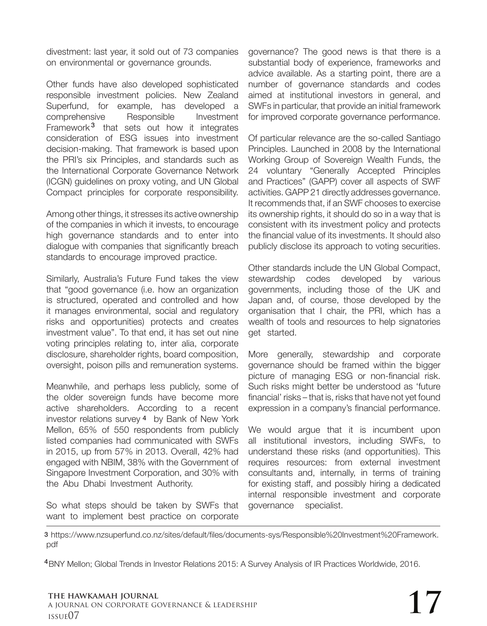divestment: last year, it sold out of 73 companies on environmental or governance grounds.

Other funds have also developed sophisticated responsible investment policies. New Zealand Superfund, for example, has developed a comprehensive Responsible Investment Framework<sup>3</sup> that sets out how it integrates consideration of ESG issues into investment decision-making. That framework is based upon the PRI's six Principles, and standards such as the International Corporate Governance Network (ICGN) guidelines on proxy voting, and UN Global Compact principles for corporate responsibility.

Among other things, it stresses its active ownership of the companies in which it invests, to encourage high governance standards and to enter into dialogue with companies that significantly breach standards to encourage improved practice.

Similarly, Australia's Future Fund takes the view that "good governance (i.e. how an organization is structured, operated and controlled and how it manages environmental, social and regulatory risks and opportunities) protects and creates investment value". To that end, it has set out nine voting principles relating to, inter alia, corporate disclosure, shareholder rights, board composition, oversight, poison pills and remuneration systems.

Meanwhile, and perhaps less publicly, some of the older sovereign funds have become more active shareholders. According to a recent investor relations survey 4 by Bank of New York Mellon, 65% of 550 respondents from publicly listed companies had communicated with SWFs in 2015, up from 57% in 2013. Overall, 42% had engaged with NBIM, 38% with the Government of Singapore Investment Corporation, and 30% with the Abu Dhabi Investment Authority.

So what steps should be taken by SWFs that want to implement best practice on corporate

governance? The good news is that there is a substantial body of experience, frameworks and advice available. As a starting point, there are a number of governance standards and codes aimed at institutional investors in general, and SWFs in particular, that provide an initial framework for improved corporate governance performance.

Of particular relevance are the so-called Santiago Principles. Launched in 2008 by the International Working Group of Sovereign Wealth Funds, the 24 voluntary "Generally Accepted Principles and Practices" (GAPP) cover all aspects of SWF activities. GAPP 21 directly addresses governance. It recommends that, if an SWF chooses to exercise its ownership rights, it should do so in a way that is consistent with its investment policy and protects the financial value of its investments. It should also publicly disclose its approach to voting securities.

Other standards include the UN Global Compact, stewardship codes developed by various governments, including those of the UK and Japan and, of course, those developed by the organisation that I chair, the PRI, which has a wealth of tools and resources to help signatories get started.

More generally, stewardship and corporate governance should be framed within the bigger picture of managing ESG or non-financial risk. Such risks might better be understood as 'future financial' risks – that is, risks that have not yet found expression in a company's financial performance.

We would argue that it is incumbent upon all institutional investors, including SWFs, to understand these risks (and opportunities). This requires resources: from external investment consultants and, internally, in terms of training for existing staff, and possibly hiring a dedicated internal responsible investment and corporate governance specialist.

 https://www.nzsuperfund.co.nz/sites/default/files/documents-sys/Responsible%20Investment%20Framework. 3 pdf

4BNY Mellon; Global Trends in Investor Relations 2015: A Survey Analysis of IR Practices Worldwide, 2016.